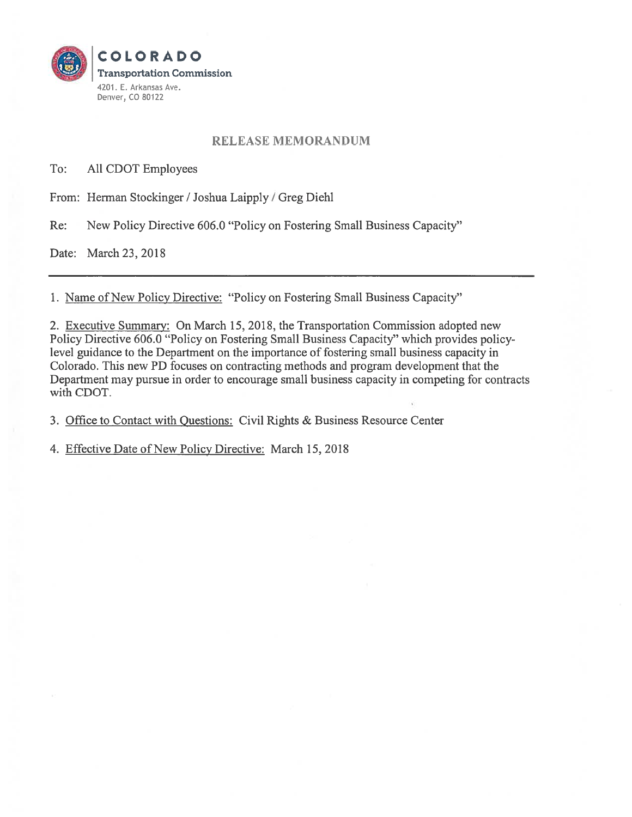

## RELEASE MEMORANDUM

To: All CDOT Employees

From: Herman Stockinger / Joshua Laipply / Greg Diehl

Re: New Policy Directive 606.0 "Policy on Fostering Small Business Capacity"

Date: March 23, 2018

1. Name of New Policy Directive: "Policy on Fostering Small Business Capacity"

2. Executive Summary: On March 15, 2018, the Transportation Commission adopted new Policy Directive 606.0 "Policy on Fostering Small Business Capacity" which provides policy level guidance to the Department on the importance of fostering small business capacity in Colorado. This new PD focuses on contracting methods and program development that the Department may pursue in order to encourage small business capacity in competing for contracts with CDOT.

3. Office to Contact with Ouestions: Civil Rights & Business Resource Center

4. Effective Date of New Policy Directive: March 15, 2018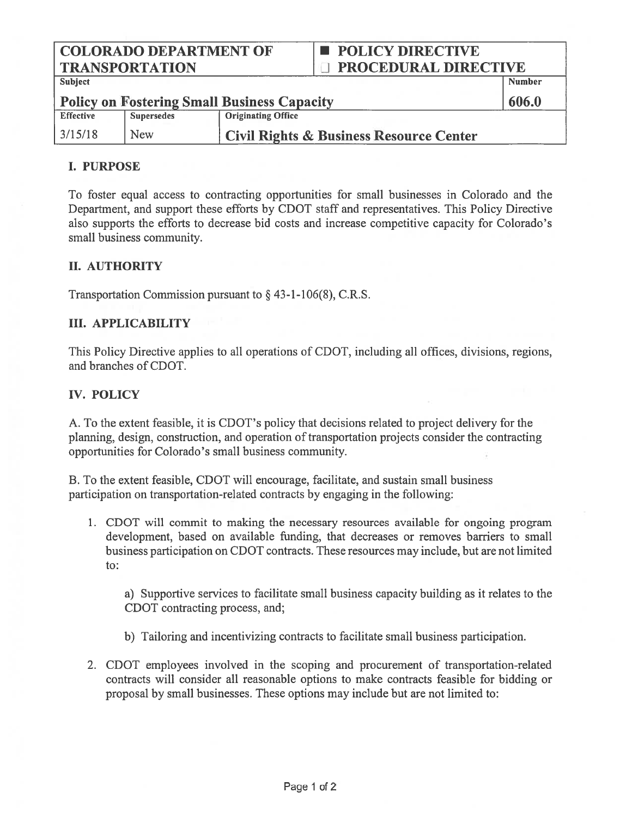COLORADO DEPARTMENT OF  $\Box$  POLICY DIRECTIVE TRANSPORTATION DIRECTIVE

| <b>Subject</b>                                     |                   |                                                    | Number |
|----------------------------------------------------|-------------------|----------------------------------------------------|--------|
| <b>Policy on Fostering Small Business Capacity</b> |                   |                                                    | 606.0  |
| <b>Effective</b>                                   | <b>Supersedes</b> | <b>Originating Office</b>                          |        |
| 3/15/18                                            | <b>New</b>        | <b>Civil Rights &amp; Business Resource Center</b> |        |

### I. PURPOSE

To foster equal access to contracting opportunities for small businesses in Colorado and the Department, and suppor<sup>t</sup> these efforts by CDOT staff and representatives. This Policy Directive also supports the efforts to decrease bid costs and increase competitive capacity for Colorado's small business community.

#### II. AUTHORITY

Transportation Commission pursuant to  $\S$  43-1-106(8), C.R.S.

#### III. APPLICABILITY

This Policy Directive applies to all operations of CDOT, including all offices, divisions, regions, and branches of CDOT.

#### IV. POLICY

A. To the extent feasible, it is CDOT's policy that decisions related to project delivery for the planning, design, construction, and operation of transportation projects consider the contracting opportunities for Colorado's small business community.

B. To the extent feasible, CDOT will encourage, facilitate, and sustain small business participation on transportation-related contracts by engaging in the following:

1. CDOT will commit to making the necessary resources available for ongoing program development, based on available funding, that decreases or removes barriers to small business participation on CDOT contracts. These resources may include, but are not limited to:

a) Supportive services to facilitate small business capacity building as it relates to the CDOT contracting process, and;

- b) Tailoring and incentivizing contracts to facilitate small business participation.
- 2. CDOT employees involved in the scoping and procuremen<sup>t</sup> of transportation-related contracts will consider all reasonable options to make contracts feasible for bidding or proposal by small businesses. These options may include but are not limited to: